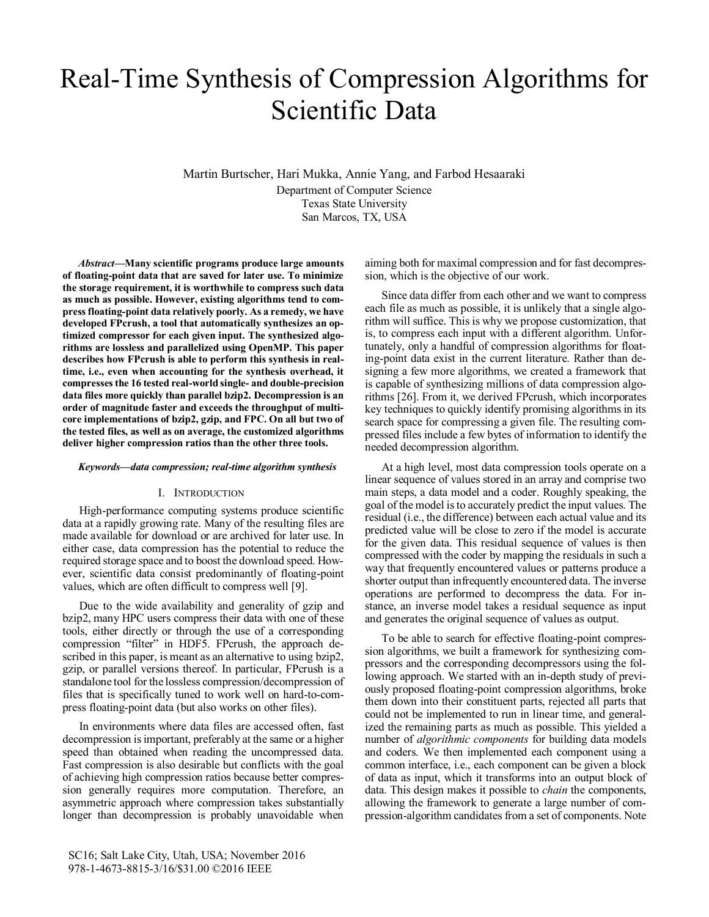# Real-Time Synthesis of Compression Algorithms for Scientific Data

Martin Burtscher, Hari Mukka, Annie Yang, and Farbod Hesaaraki Department of Computer Science Texas State University San Marcos, TX, USA

*Abstract***—Many scientific programs produce large amounts of floating-point data that are saved for later use. To minimize the storage requirement, it is worthwhile to compress such data as much as possible. However, existing algorithms tend to compress floating-point data relatively poorly. As a remedy, we have developed FPcrush, a tool that automatically synthesizes an optimized compressor for each given input. The synthesized algorithms are lossless and parallelized using OpenMP. This paper describes how FPcrush is able to perform this synthesis in realtime, i.e., even when accounting for the synthesis overhead, it compresses the 16 tested real-world single- and double-precision data files more quickly than parallel bzip2. Decompression is an order of magnitude faster and exceeds the throughput of multicore implementations of bzip2, gzip, and FPC. On all but two of the tested files, as well as on average, the customized algorithms deliver higher compression ratios than the other three tools.**

## *Keywords—data compression; real-time algorithm synthesis*

# I. INTRODUCTION

High-performance computing systems produce scientific data at a rapidly growing rate. Many of the resulting files are made available for download or are archived for later use. In either case, data compression has the potential to reduce the required storage space and to boost the download speed. However, scientific data consist predominantly of floating-point values, which are often difficult to compress well [9].

Due to the wide availability and generality of gzip and bzip2, many HPC users compress their data with one of these tools, either directly or through the use of a corresponding compression "filter" in HDF5. FPcrush, the approach described in this paper, is meant as an alternative to using bzip2, gzip, or parallel versions thereof. In particular, FPcrush is a standalone tool for the lossless compression/decompression of files that is specifically tuned to work well on hard-to-compress floating-point data (but also works on other files).

In environments where data files are accessed often, fast decompression is important, preferably at the same or a higher speed than obtained when reading the uncompressed data. Fast compression is also desirable but conflicts with the goal of achieving high compression ratios because better compression generally requires more computation. Therefore, an asymmetric approach where compression takes substantially longer than decompression is probably unavoidable when

aiming both for maximal compression and for fast decompression, which is the objective of our work.

Since data differ from each other and we want to compress each file as much as possible, it is unlikely that a single algorithm will suffice. This is why we propose customization, that is, to compress each input with a different algorithm. Unfortunately, only a handful of compression algorithms for floating-point data exist in the current literature. Rather than designing a few more algorithms, we created a framework that is capable of synthesizing millions of data compression algorithms [26]. From it, we derived FPcrush, which incorporates key techniques to quickly identify promising algorithms in its search space for compressing a given file. The resulting compressed files include a few bytes of information to identify the needed decompression algorithm.

At a high level, most data compression tools operate on a linear sequence of values stored in an array and comprise two main steps, a data model and a coder. Roughly speaking, the goal of the model is to accurately predict the input values. The residual (i.e., the difference) between each actual value and its predicted value will be close to zero if the model is accurate for the given data. This residual sequence of values is then compressed with the coder by mapping the residuals in such a way that frequently encountered values or patterns produce a shorter output than infrequently encountered data. The inverse operations are performed to decompress the data. For instance, an inverse model takes a residual sequence as input and generates the original sequence of values as output.

To be able to search for effective floating-point compression algorithms, we built a framework for synthesizing compressors and the corresponding decompressors using the following approach. We started with an in-depth study of previously proposed floating-point compression algorithms, broke them down into their constituent parts, rejected all parts that could not be implemented to run in linear time, and generalized the remaining parts as much as possible. This yielded a number of *algorithmic components* for building data models and coders. We then implemented each component using a common interface, i.e., each component can be given a block of data as input, which it transforms into an output block of data. This design makes it possible to *chain* the components, allowing the framework to generate a large number of compression-algorithm candidates from a set of components. Note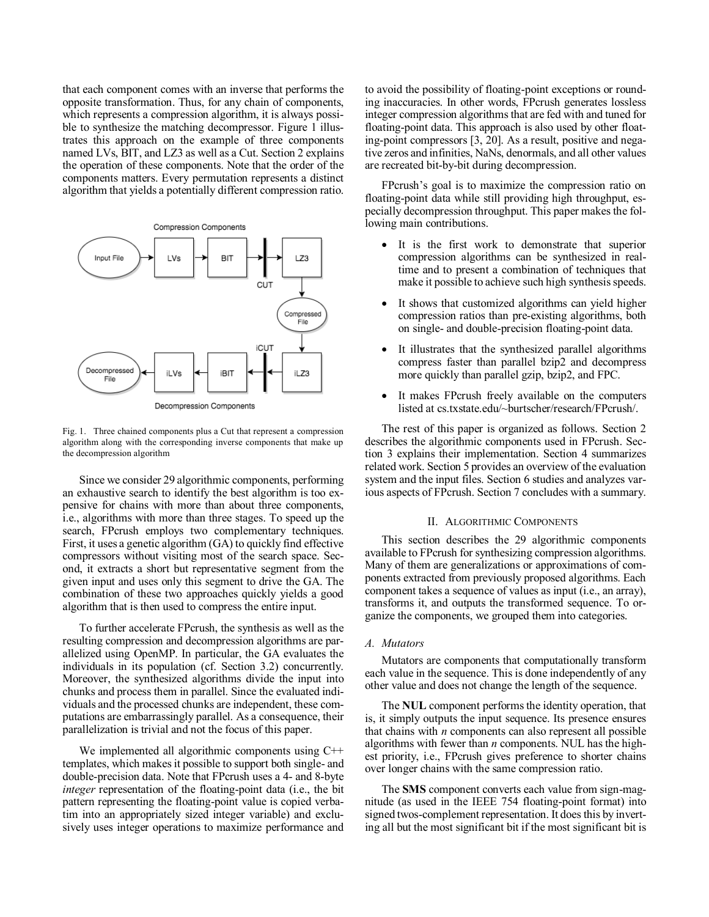that each component comes with an inverse that performs the opposite transformation. Thus, for any chain of components, which represents a compression algorithm, it is always possible to synthesize the matching decompressor. Figure 1 illustrates this approach on the example of three components named LVs, BIT, and LZ3 as well as a Cut. Section 2 explains the operation of these components. Note that the order of the components matters. Every permutation represents a distinct algorithm that yields a potentially different compression ratio.



Decompression Components

Fig. 1. Three chained components plus a Cut that represent a compression algorithm along with the corresponding inverse components that make up the decompression algorithm

Since we consider 29 algorithmic components, performing an exhaustive search to identify the best algorithm is too expensive for chains with more than about three components, i.e., algorithms with more than three stages. To speed up the search, FPcrush employs two complementary techniques. First, it uses a genetic algorithm (GA) to quickly find effective compressors without visiting most of the search space. Second, it extracts a short but representative segment from the given input and uses only this segment to drive the GA. The combination of these two approaches quickly yields a good algorithm that is then used to compress the entire input.

To further accelerate FPcrush, the synthesis as well as the resulting compression and decompression algorithms are parallelized using OpenMP. In particular, the GA evaluates the individuals in its population (cf. Section 3.2) concurrently. Moreover, the synthesized algorithms divide the input into chunks and process them in parallel. Since the evaluated individuals and the processed chunks are independent, these computations are embarrassingly parallel. As a consequence, their parallelization is trivial and not the focus of this paper.

We implemented all algorithmic components using C++ templates, which makes it possible to support both single- and double-precision data. Note that FPcrush uses a 4- and 8-byte *integer* representation of the floating-point data (i.e., the bit pattern representing the floating-point value is copied verbatim into an appropriately sized integer variable) and exclusively uses integer operations to maximize performance and to avoid the possibility of floating-point exceptions or rounding inaccuracies. In other words, FPcrush generates lossless integer compression algorithms that are fed with and tuned for floating-point data. This approach is also used by other floating-point compressors [3, 20]. As a result, positive and negative zeros and infinities, NaNs, denormals, and all other values are recreated bit-by-bit during decompression.

FPcrush's goal is to maximize the compression ratio on floating-point data while still providing high throughput, especially decompression throughput. This paper makes the following main contributions.

- It is the first work to demonstrate that superior compression algorithms can be synthesized in realtime and to present a combination of techniques that make it possible to achieve such high synthesis speeds.
- It shows that customized algorithms can yield higher compression ratios than pre-existing algorithms, both on single- and double-precision floating-point data.
- It illustrates that the synthesized parallel algorithms compress faster than parallel bzip2 and decompress more quickly than parallel gzip, bzip2, and FPC.
- It makes FPcrush freely available on the computers listed at cs.txstate.edu/~burtscher/research/FPcrush/.

The rest of this paper is organized as follows. Section 2 describes the algorithmic components used in FPcrush. Section 3 explains their implementation. Section 4 summarizes related work. Section 5 provides an overview of the evaluation system and the input files. Section 6 studies and analyzes various aspects of FPcrush. Section 7 concludes with a summary.

### II. ALGORITHMIC COMPONENTS

This section describes the 29 algorithmic components available to FPcrush for synthesizing compression algorithms. Many of them are generalizations or approximations of components extracted from previously proposed algorithms. Each component takes a sequence of values as input (i.e., an array), transforms it, and outputs the transformed sequence. To organize the components, we grouped them into categories.

## *A. Mutators*

Mutators are components that computationally transform each value in the sequence. This is done independently of any other value and does not change the length of the sequence.

The **NUL** component performs the identity operation, that is, it simply outputs the input sequence. Its presence ensures that chains with *n* components can also represent all possible algorithms with fewer than *n* components. NUL has the highest priority, i.e., FPcrush gives preference to shorter chains over longer chains with the same compression ratio.

The **SMS** component converts each value from sign-magnitude (as used in the IEEE 754 floating-point format) into signed twos-complement representation. It does this by inverting all but the most significant bit if the most significant bit is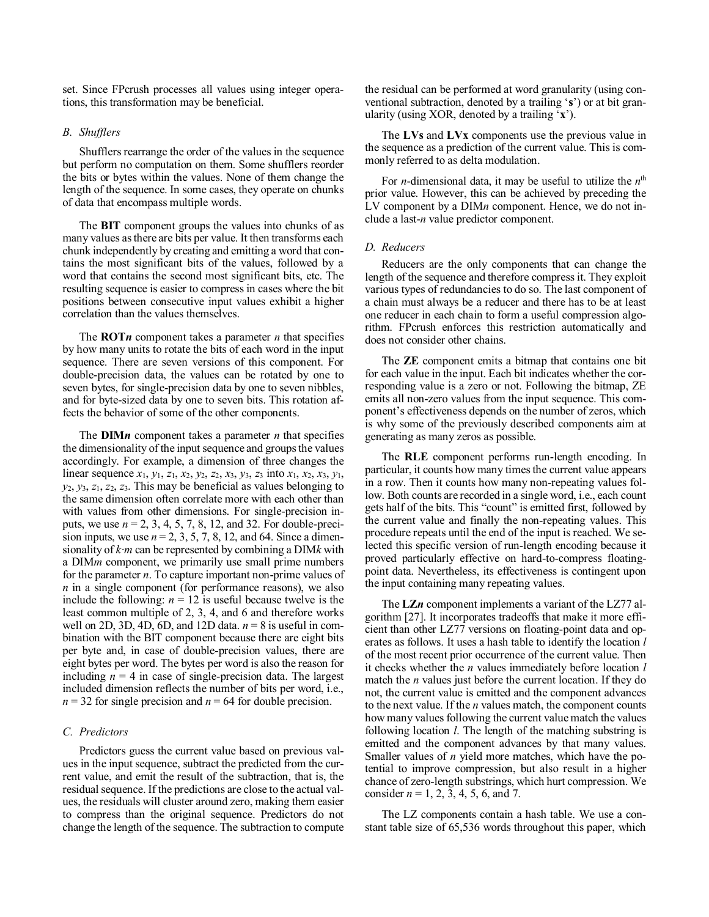set. Since FPcrush processes all values using integer operations, this transformation may be beneficial.

# *B. Shufflers*

Shufflers rearrange the order of the values in the sequence but perform no computation on them. Some shufflers reorder the bits or bytes within the values. None of them change the length of the sequence. In some cases, they operate on chunks of data that encompass multiple words.

The **BIT** component groups the values into chunks of as many values as there are bits per value. It then transforms each chunk independently by creating and emitting a word that contains the most significant bits of the values, followed by a word that contains the second most significant bits, etc. The resulting sequence is easier to compress in cases where the bit positions between consecutive input values exhibit a higher correlation than the values themselves.

The **ROT***n* component takes a parameter *n* that specifies by how many units to rotate the bits of each word in the input sequence. There are seven versions of this component. For double-precision data, the values can be rotated by one to seven bytes, for single-precision data by one to seven nibbles, and for byte-sized data by one to seven bits. This rotation affects the behavior of some of the other components.

The **DIM***n* component takes a parameter *n* that specifies the dimensionality of the input sequence and groups the values accordingly. For example, a dimension of three changes the linear sequence *x*1, *y*1, *z*1, *x*2, *y*2, *z*2, *x*3, *y*3, *z*<sup>3</sup> into *x*1, *x*2, *x*3, *y*1, *y*2, *y*3, *z*1, *z*2, *z*3. This may be beneficial as values belonging to the same dimension often correlate more with each other than with values from other dimensions. For single-precision inputs, we use *n* = 2, 3, 4, 5, 7, 8, 12, and 32. For double-precision inputs, we use  $n = 2, 3, 5, 7, 8, 12$ , and 64. Since a dimensionality of *k∙m* can be represented by combining a DIM*k* with a DIM*m* component, we primarily use small prime numbers for the parameter *n*. To capture important non-prime values of *n* in a single component (for performance reasons), we also include the following:  $n = 12$  is useful because twelve is the least common multiple of 2, 3, 4, and 6 and therefore works well on 2D, 3D, 4D, 6D, and 12D data.  $n = 8$  is useful in combination with the BIT component because there are eight bits per byte and, in case of double-precision values, there are eight bytes per word. The bytes per word is also the reason for including  $n = 4$  in case of single-precision data. The largest included dimension reflects the number of bits per word, i.e.,  $n = 32$  for single precision and  $n = 64$  for double precision.

# *C. Predictors*

Predictors guess the current value based on previous values in the input sequence, subtract the predicted from the current value, and emit the result of the subtraction, that is, the residual sequence. If the predictions are close to the actual values, the residuals will cluster around zero, making them easier to compress than the original sequence. Predictors do not change the length of the sequence. The subtraction to compute the residual can be performed at word granularity (using conventional subtraction, denoted by a trailing '**s**') or at bit granularity (using XOR, denoted by a trailing '**x**').

The **LVs** and **LVx** components use the previous value in the sequence as a prediction of the current value. This is commonly referred to as delta modulation.

For *n*-dimensional data, it may be useful to utilize the *n*<sup>th</sup> prior value. However, this can be achieved by preceding the LV component by a DIM<sub>*n*</sub> component. Hence, we do not include a last-*n* value predictor component.

## *D. Reducers*

Reducers are the only components that can change the length of the sequence and therefore compress it. They exploit various types of redundancies to do so. The last component of a chain must always be a reducer and there has to be at least one reducer in each chain to form a useful compression algorithm. FPcrush enforces this restriction automatically and does not consider other chains.

The **ZE** component emits a bitmap that contains one bit for each value in the input. Each bit indicates whether the corresponding value is a zero or not. Following the bitmap, ZE emits all non-zero values from the input sequence. This component's effectiveness depends on the number of zeros, which is why some of the previously described components aim at generating as many zeros as possible.

The **RLE** component performs run-length encoding. In particular, it counts how many times the current value appears in a row. Then it counts how many non-repeating values follow. Both counts are recorded in a single word, i.e., each count gets half of the bits. This "count" is emitted first, followed by the current value and finally the non-repeating values. This procedure repeats until the end of the input is reached. We selected this specific version of run-length encoding because it proved particularly effective on hard-to-compress floatingpoint data. Nevertheless, its effectiveness is contingent upon the input containing many repeating values.

The **LZ***n* component implements a variant of the LZ77 algorithm [27]. It incorporates tradeoffs that make it more efficient than other LZ77 versions on floating-point data and operates as follows. It uses a hash table to identify the location *l* of the most recent prior occurrence of the current value. Then it checks whether the *n* values immediately before location *l* match the *n* values just before the current location. If they do not, the current value is emitted and the component advances to the next value. If the *n* values match, the component counts how many values following the current value match the values following location *l*. The length of the matching substring is emitted and the component advances by that many values. Smaller values of *n* yield more matches, which have the potential to improve compression, but also result in a higher chance of zero-length substrings, which hurt compression. We consider *n* = 1, 2, 3, 4, 5, 6, and 7.

The LZ components contain a hash table. We use a constant table size of 65,536 words throughout this paper, which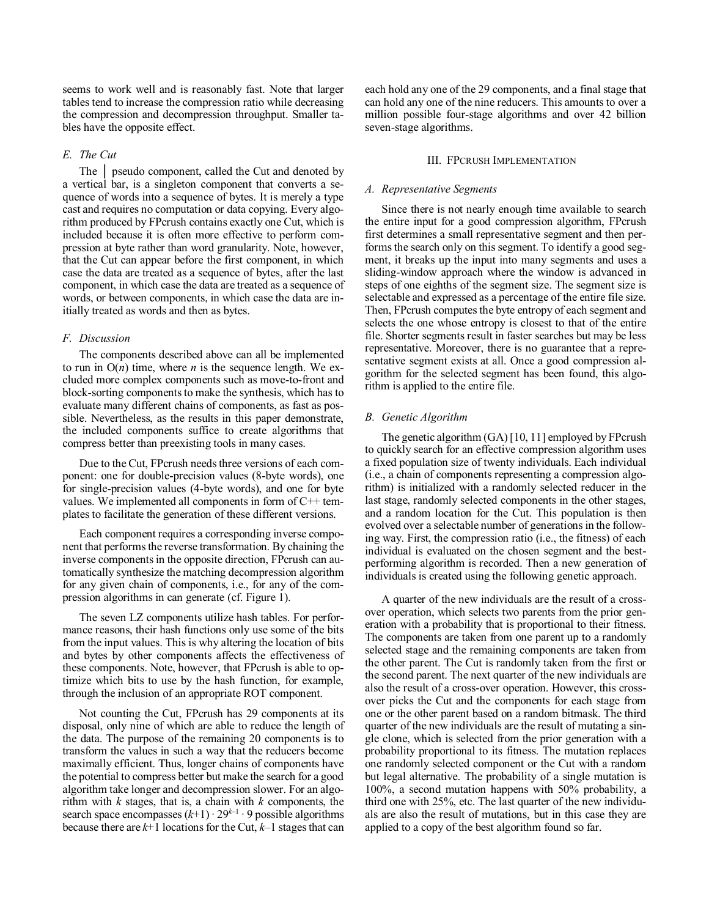seems to work well and is reasonably fast. Note that larger tables tend to increase the compression ratio while decreasing the compression and decompression throughput. Smaller tables have the opposite effect.

# *E. The Cut*

The | pseudo component, called the Cut and denoted by a vertical bar, is a singleton component that converts a sequence of words into a sequence of bytes. It is merely a type cast and requires no computation or data copying. Every algorithm produced by FPcrush contains exactly one Cut, which is included because it is often more effective to perform compression at byte rather than word granularity. Note, however, that the Cut can appear before the first component, in which case the data are treated as a sequence of bytes, after the last component, in which case the data are treated as a sequence of words, or between components, in which case the data are initially treated as words and then as bytes.

## *F. Discussion*

The components described above can all be implemented to run in  $O(n)$  time, where *n* is the sequence length. We excluded more complex components such as move-to-front and block-sorting components to make the synthesis, which has to evaluate many different chains of components, as fast as possible. Nevertheless, as the results in this paper demonstrate, the included components suffice to create algorithms that compress better than preexisting tools in many cases.

Due to the Cut, FPcrush needs three versions of each component: one for double-precision values (8-byte words), one for single-precision values (4-byte words), and one for byte values. We implemented all components in form of C++ templates to facilitate the generation of these different versions.

Each component requires a corresponding inverse component that performs the reverse transformation. By chaining the inverse components in the opposite direction, FPcrush can automatically synthesize the matching decompression algorithm for any given chain of components, i.e., for any of the compression algorithms in can generate (cf. Figure 1).

The seven LZ components utilize hash tables. For performance reasons, their hash functions only use some of the bits from the input values. This is why altering the location of bits and bytes by other components affects the effectiveness of these components. Note, however, that FPcrush is able to optimize which bits to use by the hash function, for example, through the inclusion of an appropriate ROT component.

Not counting the Cut, FPcrush has 29 components at its disposal, only nine of which are able to reduce the length of the data. The purpose of the remaining 20 components is to transform the values in such a way that the reducers become maximally efficient. Thus, longer chains of components have the potential to compress better but make the search for a good algorithm take longer and decompression slower. For an algorithm with *k* stages, that is, a chain with *k* components, the search space encompasses  $(k+1) \cdot 29^{k-1} \cdot 9$  possible algorithms because there are *k*+1 locations for the Cut, *k*–1 stages that can

each hold any one of the 29 components, and a final stage that can hold any one of the nine reducers. This amounts to over a million possible four-stage algorithms and over 42 billion seven-stage algorithms.

#### III. FPCRUSH IMPLEMENTATION

## *A. Representative Segments*

Since there is not nearly enough time available to search the entire input for a good compression algorithm, FPcrush first determines a small representative segment and then performs the search only on this segment. To identify a good segment, it breaks up the input into many segments and uses a sliding-window approach where the window is advanced in steps of one eighths of the segment size. The segment size is selectable and expressed as a percentage of the entire file size. Then, FPcrush computes the byte entropy of each segment and selects the one whose entropy is closest to that of the entire file. Shorter segments result in faster searches but may be less representative. Moreover, there is no guarantee that a representative segment exists at all. Once a good compression algorithm for the selected segment has been found, this algorithm is applied to the entire file.

## *B. Genetic Algorithm*

The genetic algorithm (GA) [10, 11] employed by FPcrush to quickly search for an effective compression algorithm uses a fixed population size of twenty individuals. Each individual (i.e., a chain of components representing a compression algorithm) is initialized with a randomly selected reducer in the last stage, randomly selected components in the other stages, and a random location for the Cut. This population is then evolved over a selectable number of generations in the following way. First, the compression ratio (i.e., the fitness) of each individual is evaluated on the chosen segment and the bestperforming algorithm is recorded. Then a new generation of individuals is created using the following genetic approach.

A quarter of the new individuals are the result of a crossover operation, which selects two parents from the prior generation with a probability that is proportional to their fitness. The components are taken from one parent up to a randomly selected stage and the remaining components are taken from the other parent. The Cut is randomly taken from the first or the second parent. The next quarter of the new individuals are also the result of a cross-over operation. However, this crossover picks the Cut and the components for each stage from one or the other parent based on a random bitmask. The third quarter of the new individuals are the result of mutating a single clone, which is selected from the prior generation with a probability proportional to its fitness. The mutation replaces one randomly selected component or the Cut with a random but legal alternative. The probability of a single mutation is 100%, a second mutation happens with 50% probability, a third one with 25%, etc. The last quarter of the new individuals are also the result of mutations, but in this case they are applied to a copy of the best algorithm found so far.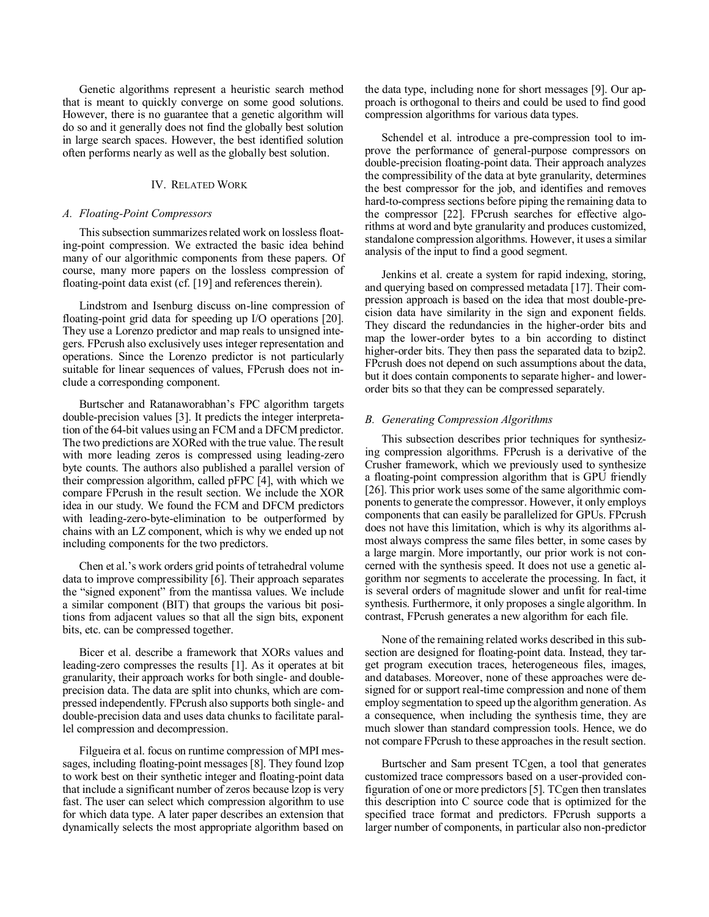Genetic algorithms represent a heuristic search method that is meant to quickly converge on some good solutions. However, there is no guarantee that a genetic algorithm will do so and it generally does not find the globally best solution in large search spaces. However, the best identified solution often performs nearly as well as the globally best solution.

# IV. RELATED WORK

#### *A. Floating-Point Compressors*

This subsection summarizes related work on lossless floating-point compression. We extracted the basic idea behind many of our algorithmic components from these papers. Of course, many more papers on the lossless compression of floating-point data exist (cf. [19] and references therein).

Lindstrom and Isenburg discuss on-line compression of floating-point grid data for speeding up I/O operations [20]. They use a Lorenzo predictor and map reals to unsigned integers. FPcrush also exclusively uses integer representation and operations. Since the Lorenzo predictor is not particularly suitable for linear sequences of values, FPcrush does not include a corresponding component.

Burtscher and Ratanaworabhan's FPC algorithm targets double-precision values [3]. It predicts the integer interpretation of the 64-bit values using an FCM and a DFCM predictor. The two predictions are XORed with the true value. The result with more leading zeros is compressed using leading-zero byte counts. The authors also published a parallel version of their compression algorithm, called pFPC [4], with which we compare FPcrush in the result section. We include the XOR idea in our study. We found the FCM and DFCM predictors with leading-zero-byte-elimination to be outperformed by chains with an LZ component, which is why we ended up not including components for the two predictors.

Chen et al.'s work orders grid points of tetrahedral volume data to improve compressibility  $[6]$ . Their approach separates the "signed exponent" from the mantissa values. We include a similar component (BIT) that groups the various bit positions from adjacent values so that all the sign bits, exponent bits, etc. can be compressed together.

Bicer et al. describe a framework that XORs values and leading-zero compresses the results [1]. As it operates at bit granularity, their approach works for both single- and doubleprecision data. The data are split into chunks, which are compressed independently. FPcrush also supports both single- and double-precision data and uses data chunks to facilitate parallel compression and decompression.

Filgueira et al. focus on runtime compression of MPI messages, including floating-point messages [8]. They found lzop to work best on their synthetic integer and floating-point data that include a significant number of zeros because lzop is very fast. The user can select which compression algorithm to use for which data type. A later paper describes an extension that dynamically selects the most appropriate algorithm based on the data type, including none for short messages [9]. Our approach is orthogonal to theirs and could be used to find good compression algorithms for various data types.

Schendel et al. introduce a pre-compression tool to improve the performance of general-purpose compressors on double-precision floating-point data. Their approach analyzes the compressibility of the data at byte granularity, determines the best compressor for the job, and identifies and removes hard-to-compress sections before piping the remaining data to the compressor [22]. FPcrush searches for effective algorithms at word and byte granularity and produces customized, standalone compression algorithms. However, it uses a similar analysis of the input to find a good segment.

Jenkins et al. create a system for rapid indexing, storing, and querying based on compressed metadata [17]. Their compression approach is based on the idea that most double-precision data have similarity in the sign and exponent fields. They discard the redundancies in the higher-order bits and map the lower-order bytes to a bin according to distinct higher-order bits. They then pass the separated data to bzip2. FPcrush does not depend on such assumptions about the data, but it does contain components to separate higher- and lowerorder bits so that they can be compressed separately.

# *B. Generating Compression Algorithms*

This subsection describes prior techniques for synthesizing compression algorithms. FPcrush is a derivative of the Crusher framework, which we previously used to synthesize a floating-point compression algorithm that is GPU friendly [26]. This prior work uses some of the same algorithmic components to generate the compressor. However, it only employs components that can easily be parallelized for GPUs. FPcrush does not have this limitation, which is why its algorithms almost always compress the same files better, in some cases by a large margin. More importantly, our prior work is not concerned with the synthesis speed. It does not use a genetic algorithm nor segments to accelerate the processing. In fact, it is several orders of magnitude slower and unfit for real-time synthesis. Furthermore, it only proposes a single algorithm. In contrast, FPcrush generates a new algorithm for each file.

None of the remaining related works described in this subsection are designed for floating-point data. Instead, they target program execution traces, heterogeneous files, images, and databases. Moreover, none of these approaches were designed for or support real-time compression and none of them employ segmentation to speed up the algorithm generation. As a consequence, when including the synthesis time, they are much slower than standard compression tools. Hence, we do not compare FPcrush to these approaches in the result section.

Burtscher and Sam present TCgen, a tool that generates customized trace compressors based on a user-provided configuration of one or more predictors [5]. TCgen then translates this description into C source code that is optimized for the specified trace format and predictors. FPcrush supports a larger number of components, in particular also non-predictor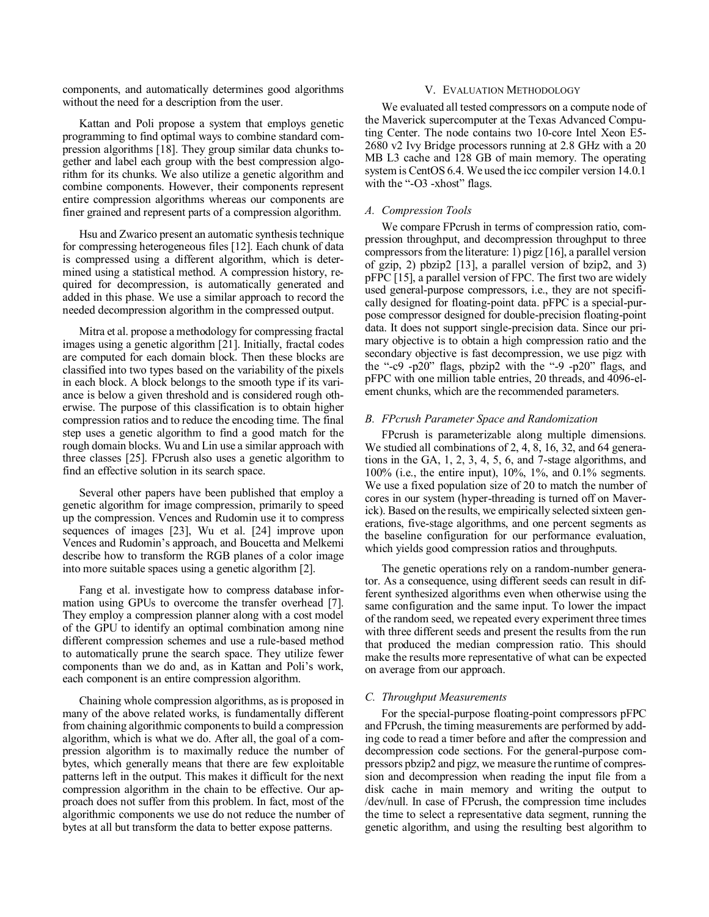components, and automatically determines good algorithms without the need for a description from the user.

Kattan and Poli propose a system that employs genetic programming to find optimal ways to combine standard compression algorithms [18]. They group similar data chunks together and label each group with the best compression algorithm for its chunks. We also utilize a genetic algorithm and combine components. However, their components represent entire compression algorithms whereas our components are finer grained and represent parts of a compression algorithm.

Hsu and Zwarico present an automatic synthesis technique for compressing heterogeneous files [12]. Each chunk of data is compressed using a different algorithm, which is determined using a statistical method. A compression history, required for decompression, is automatically generated and added in this phase. We use a similar approach to record the needed decompression algorithm in the compressed output.

Mitra et al. propose a methodology for compressing fractal images using a genetic algorithm [21]. Initially, fractal codes are computed for each domain block. Then these blocks are classified into two types based on the variability of the pixels in each block. A block belongs to the smooth type if its variance is below a given threshold and is considered rough otherwise. The purpose of this classification is to obtain higher compression ratios and to reduce the encoding time. The final step uses a genetic algorithm to find a good match for the rough domain blocks. Wu and Lin use a similar approach with three classes [25]. FPcrush also uses a genetic algorithm to find an effective solution in its search space.

Several other papers have been published that employ a genetic algorithm for image compression, primarily to speed up the compression. Vences and Rudomin use it to compress sequences of images [23], Wu et al. [24] improve upon Vences and Rudomin's approach, and Boucetta and Melkemi describe how to transform the RGB planes of a color image into more suitable spaces using a genetic algorithm [2].

Fang et al. investigate how to compress database information using GPUs to overcome the transfer overhead [7]. They employ a compression planner along with a cost model of the GPU to identify an optimal combination among nine different compression schemes and use a rule-based method to automatically prune the search space. They utilize fewer components than we do and, as in Kattan and Poli's work, each component is an entire compression algorithm.

Chaining whole compression algorithms, as is proposed in many of the above related works, is fundamentally different from chaining algorithmic components to build a compression algorithm, which is what we do. After all, the goal of a compression algorithm is to maximally reduce the number of bytes, which generally means that there are few exploitable patterns left in the output. This makes it difficult for the next compression algorithm in the chain to be effective. Our approach does not suffer from this problem. In fact, most of the algorithmic components we use do not reduce the number of bytes at all but transform the data to better expose patterns.

# V. EVALUATION METHODOLOGY

We evaluated all tested compressors on a compute node of the Maverick supercomputer at the Texas Advanced Computing Center. The node contains two 10-core Intel Xeon E5- 2680 v2 Ivy Bridge processors running at 2.8 GHz with a 20 MB L3 cache and 128 GB of main memory. The operating system is CentOS 6.4. We used the icc compiler version 14.0.1 with the "-O3 -xhost" flags.

# *A. Compression Tools*

We compare FPcrush in terms of compression ratio, compression throughput, and decompression throughput to three compressors from the literature: 1) pigz [16], a parallel version of gzip, 2) pbzip2 [13], a parallel version of bzip2, and 3) pFPC [15], a parallel version of FPC. The first two are widely used general-purpose compressors, i.e., they are not specifically designed for floating-point data. pFPC is a special-purpose compressor designed for double-precision floating-point data. It does not support single-precision data. Since our primary objective is to obtain a high compression ratio and the secondary objective is fast decompression, we use pigz with the "-c9 -p20" flags, pbzip2 with the "-9 -p20" flags, and pFPC with one million table entries, 20 threads, and 4096-element chunks, which are the recommended parameters.

# *B. FPcrush Parameter Space and Randomization*

FPcrush is parameterizable along multiple dimensions. We studied all combinations of 2, 4, 8, 16, 32, and 64 generations in the GA, 1, 2, 3, 4, 5, 6, and 7-stage algorithms, and 100% (i.e., the entire input), 10%, 1%, and 0.1% segments. We use a fixed population size of 20 to match the number of cores in our system (hyper-threading is turned off on Maverick). Based on the results, we empirically selected sixteen generations, five-stage algorithms, and one percent segments as the baseline configuration for our performance evaluation, which yields good compression ratios and throughputs.

The genetic operations rely on a random-number generator. As a consequence, using different seeds can result in different synthesized algorithms even when otherwise using the same configuration and the same input. To lower the impact of the random seed, we repeated every experiment three times with three different seeds and present the results from the run that produced the median compression ratio. This should make the results more representative of what can be expected on average from our approach.

## *C. Throughput Measurements*

For the special-purpose floating-point compressors pFPC and FPcrush, the timing measurements are performed by adding code to read a timer before and after the compression and decompression code sections. For the general-purpose compressors pbzip2 and pigz, we measure the runtime of compression and decompression when reading the input file from a disk cache in main memory and writing the output to /dev/null. In case of FPcrush, the compression time includes the time to select a representative data segment, running the genetic algorithm, and using the resulting best algorithm to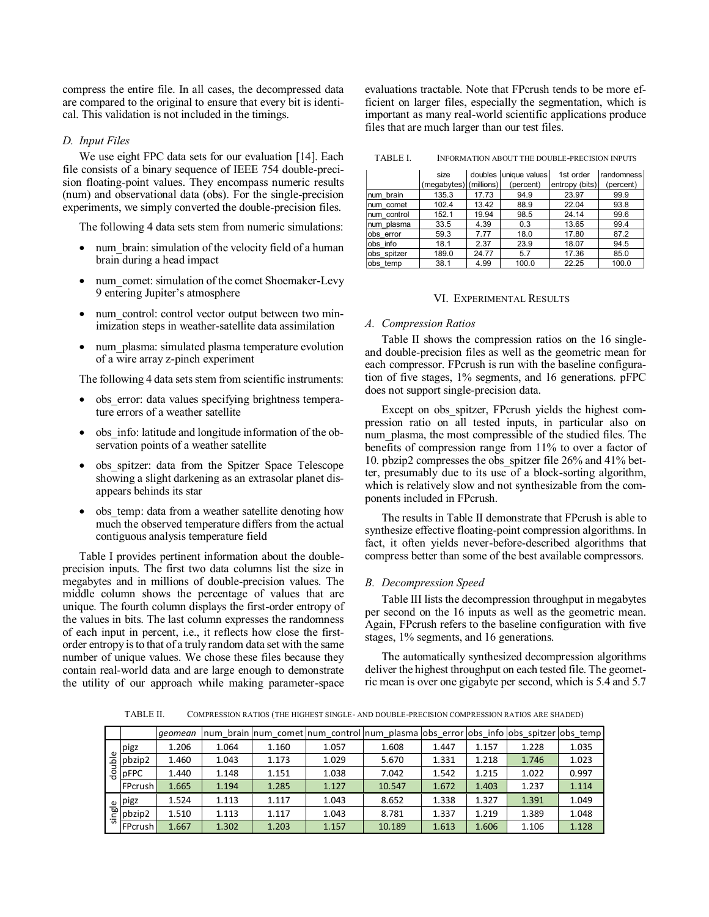compress the entire file. In all cases, the decompressed data are compared to the original to ensure that every bit is identical. This validation is not included in the timings.

# *D. Input Files*

We use eight FPC data sets for our evaluation [14]. Each file consists of a binary sequence of IEEE 754 double-precision floating-point values. They encompass numeric results (num) and observational data (obs). For the single-precision experiments, we simply converted the double-precision files.

The following 4 data sets stem from numeric simulations:

- num\_brain: simulation of the velocity field of a human brain during a head impact
- num\_comet: simulation of the comet Shoemaker-Levy 9 entering Jupiter's atmosphere
- num control: control vector output between two minimization steps in weather-satellite data assimilation
- num\_plasma: simulated plasma temperature evolution of a wire array z-pinch experiment

The following 4 data sets stem from scientific instruments:

- obs\_error: data values specifying brightness temperature errors of a weather satellite
- obs\_info: latitude and longitude information of the observation points of a weather satellite
- obs\_spitzer: data from the Spitzer Space Telescope showing a slight darkening as an extrasolar planet disappears behinds its star
- obs temp: data from a weather satellite denoting how much the observed temperature differs from the actual contiguous analysis temperature field

Table I provides pertinent information about the doubleprecision inputs. The first two data columns list the size in megabytes and in millions of double-precision values. The middle column shows the percentage of values that are unique. The fourth column displays the first-order entropy of the values in bits. The last column expresses the randomness of each input in percent, i.e., it reflects how close the firstorder entropy is to that of a truly random data set with the same number of unique values. We chose these files because they contain real-world data and are large enough to demonstrate the utility of our approach while making parameter-space

evaluations tractable. Note that FPcrush tends to be more efficient on larger files, especially the segmentation, which is important as many real-world scientific applications produce files that are much larger than our test files.

TABLE I. INFORMATION ABOUT THE DOUBLE-PRECISION INPUTS

|             | size                     | doubles | unique values | 1st order      | <b>randomness</b> |
|-------------|--------------------------|---------|---------------|----------------|-------------------|
|             | $(megabytes)$ (millions) |         | (percent)     | entropy (bits) | (percent)         |
| num brain   | 135.3                    | 17.73   | 94.9          | 23.97          | 99.9              |
| num comet   | 102.4                    | 13.42   | 88.9          | 22.04          | 93.8              |
| num control | 152.1                    | 19.94   | 98.5          | 24.14          | 99.6              |
| num plasma  | 33.5                     | 4.39    | 0.3           | 13.65          | 99.4              |
| obs error   | 59.3                     | 7.77    | 18.0          | 17.80          | 87.2              |
| obs info    | 18.1                     | 2.37    | 23.9          | 18.07          | 94.5              |
| obs spitzer | 189.0                    | 24.77   | 5.7           | 17.36          | 85.0              |
| obs temp    | 38.1                     | 4.99    | 100.0         | 22.25          | 100.0             |

#### VI. EXPERIMENTAL RESULTS

# *A. Compression Ratios*

Table II shows the compression ratios on the 16 singleand double-precision files as well as the geometric mean for each compressor. FPcrush is run with the baseline configuration of five stages, 1% segments, and 16 generations. pFPC does not support single-precision data.

Except on obs spitzer, FPcrush yields the highest compression ratio on all tested inputs, in particular also on num\_plasma, the most compressible of the studied files. The benefits of compression range from 11% to over a factor of 10. pbzip2 compresses the obs\_spitzer file 26% and 41% better, presumably due to its use of a block-sorting algorithm, which is relatively slow and not synthesizable from the components included in FPcrush.

The results in Table II demonstrate that FPcrush is able to synthesize effective floating-point compression algorithms. In fact, it often yields never-before-described algorithms that compress better than some of the best available compressors.

## *B. Decompression Speed*

Table III lists the decompression throughput in megabytes per second on the 16 inputs as well as the geometric mean. Again, FPcrush refers to the baseline configuration with five stages, 1% segments, and 16 generations.

The automatically synthesized decompression algorithms deliver the highest throughput on each tested file. The geometric mean is over one gigabyte per second, which is 5.4 and 5.7

TABLE II. COMPRESSION RATIOS (THE HIGHEST SINGLE- AND DOUBLE-PRECISION COMPRESSION RATIOS ARE SHADED)

|    |                       | aeomean |       |       |       | num brain num comet num control num plasma obs error lobs info lobs spitzer lobs temp |       |       |       |       |
|----|-----------------------|---------|-------|-------|-------|---------------------------------------------------------------------------------------|-------|-------|-------|-------|
|    | pigz                  | 1.206   | 1.064 | 1.160 | 1.057 | 1.608                                                                                 | 1.447 | 1.157 | 1.228 | 1.035 |
| ω  | $\bar{a}$ pbzip2      | 1.460   | 1.043 | 1.173 | 1.029 | 5.670                                                                                 | 1.331 | 1.218 | 1.746 | 1.023 |
|    | $rac{5}{6}$ pFPC      | 1.440   | 1.148 | 1.151 | 1.038 | 7.042                                                                                 | 1.542 | 1.215 | 1.022 | 0.997 |
|    | <b>IFPcrush</b>       | 1.665   | 1.194 | 1.285 | 1.127 | 10.547                                                                                | 1.672 | 1.403 | 1.237 | 1.114 |
| ᇟ. | o pigz                | 1.524   | 1.113 | 1.117 | 1.043 | 8.652                                                                                 | 1.338 | 1.327 | 1.391 | 1.049 |
|    | $\mathbf{F}$   pbzip2 | 1.510   | 1.113 | 1.117 | 1.043 | 8.781                                                                                 | 1.337 | 1.219 | 1.389 | 1.048 |
|    | <b>IFPcrush</b>       | 1.667   | 1.302 | 1.203 | 1.157 | 10.189                                                                                | 1.613 | 1.606 | 1.106 | 1.128 |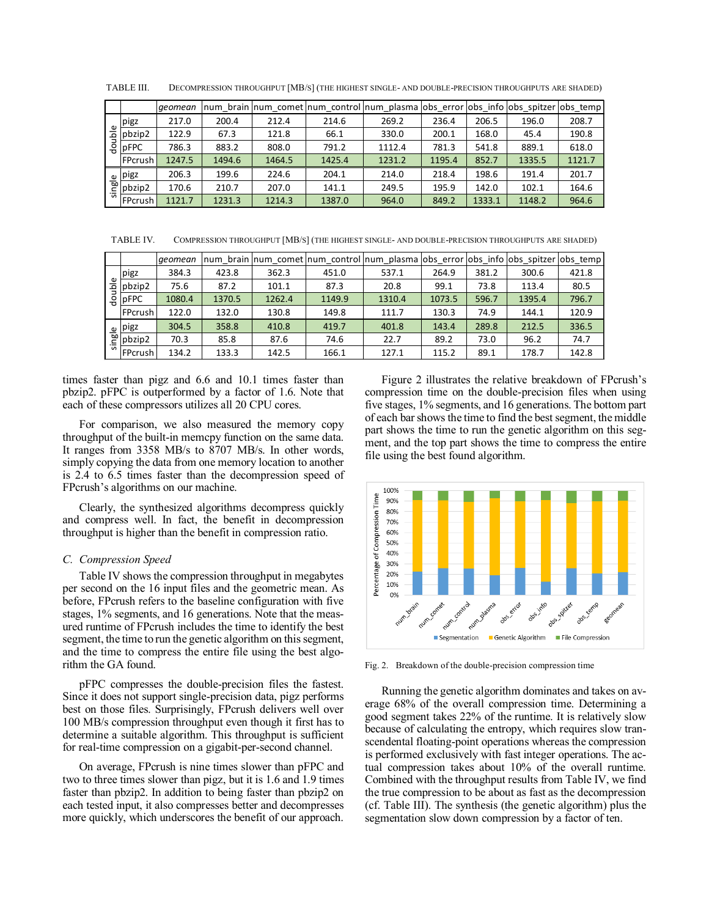|        |                 | geomean |        |        |        | num brain num comet num control num plasma obs error obs info obs spitzer obs temp |        |        |        |        |
|--------|-----------------|---------|--------|--------|--------|------------------------------------------------------------------------------------|--------|--------|--------|--------|
| 횩<br>응 | pigz            | 217.0   | 200.4  | 212.4  | 214.6  | 269.2                                                                              | 236.4  | 206.5  | 196.0  | 208.7  |
|        | pbzip2          | 122.9   | 67.3   | 121.8  | 66.1   | 330.0                                                                              | 200.1  | 168.0  | 45.4   | 190.8  |
|        | pFPC            | 786.3   | 883.2  | 808.0  | 791.2  | 1112.4                                                                             | 781.3  | 541.8  | 889.1  | 618.0  |
|        | <b>IFPcrush</b> | 1247.5  | 1494.6 | 1464.5 | 1425.4 | 1231.2                                                                             | 1195.4 | 852.7  | 1335.5 | 1121.7 |
| ingle  | pigz            | 206.3   | 199.6  | 224.6  | 204.1  | 214.0                                                                              | 218.4  | 198.6  | 191.4  | 201.7  |
|        | pbzip2          | 170.6   | 210.7  | 207.0  | 141.1  | 249.5                                                                              | 195.9  | 142.0  | 102.1  | 164.6  |
|        | <b>IFPcrush</b> | 1121.7  | 1231.3 | 1214.3 | 1387.0 | 964.0                                                                              | 849.2  | 1333.1 | 1148.2 | 964.6  |

TABLE III. DECOMPRESSION THROUGHPUT [MB/S] (THE HIGHEST SINGLE- AND DOUBLE-PRECISION THROUGHPUTS ARE SHADED)

TABLE IV. COMPRESSION THROUGHPUT [MB/S] (THE HIGHEST SINGLE- AND DOUBLE-PRECISION THROUGHPUTS ARE SHADED)

|                              |                     | geomean |        |        |        | num brain num comet num control num plasma lobs error lobs info lobs spitzer lobs temp |        |       |        |       |
|------------------------------|---------------------|---------|--------|--------|--------|----------------------------------------------------------------------------------------|--------|-------|--------|-------|
|                              | pigz                | 384.3   | 423.8  | 362.3  | 451.0  | 537.1                                                                                  | 264.9  | 381.2 | 300.6  | 421.8 |
| 횩                            | pbzip2              | 75.6    | 87.2   | 101.1  | 87.3   | 20.8                                                                                   | 99.1   | 73.8  | 113.4  | 80.5  |
|                              | $\overline{a}$ pFPC | 1080.4  | 1370.5 | 1262.4 | 1149.9 | 1310.4                                                                                 | 1073.5 | 596.7 | 1395.4 | 796.7 |
|                              | FPcrush             | 122.0   | 132.0  | 130.8  | 149.8  | 111.7                                                                                  | 130.3  | 74.9  | 144.1  | 120.9 |
| $\overline{\mathsf{c}}$<br>홀 | pigz                | 304.5   | 358.8  | 410.8  | 419.7  | 401.8                                                                                  | 143.4  | 289.8 | 212.5  | 336.5 |
|                              | pbzip2              | 70.3    | 85.8   | 87.6   | 74.6   | 22.7                                                                                   | 89.2   | 73.0  | 96.2   | 74.7  |
|                              | <b>IFPcrush</b>     | 134.2   | 133.3  | 142.5  | 166.1  | 127.1                                                                                  | 115.2  | 89.1  | 178.7  | 142.8 |

times faster than pigz and 6.6 and 10.1 times faster than pbzip2. pFPC is outperformed by a factor of 1.6. Note that each of these compressors utilizes all 20 CPU cores.

For comparison, we also measured the memory copy throughput of the built-in memcpy function on the same data. It ranges from 3358 MB/s to 8707 MB/s. In other words, simply copying the data from one memory location to another is 2.4 to 6.5 times faster than the decompression speed of FPcrush's algorithms on our machine.

Clearly, the synthesized algorithms decompress quickly and compress well. In fact, the benefit in decompression throughput is higher than the benefit in compression ratio.

# *C. Compression Speed*

Table IV shows the compression throughput in megabytes per second on the 16 input files and the geometric mean. As before, FPcrush refers to the baseline configuration with five stages, 1% segments, and 16 generations. Note that the measured runtime of FPcrush includes the time to identify the best segment, the time to run the genetic algorithm on this segment, and the time to compress the entire file using the best algorithm the GA found.

pFPC compresses the double-precision files the fastest. Since it does not support single-precision data, pigz performs best on those files. Surprisingly, FPcrush delivers well over 100 MB/s compression throughput even though it first has to determine a suitable algorithm. This throughput is sufficient for real-time compression on a gigabit-per-second channel.

On average, FPcrush is nine times slower than pFPC and two to three times slower than pigz, but it is 1.6 and 1.9 times faster than pbzip2. In addition to being faster than pbzip2 on each tested input, it also compresses better and decompresses more quickly, which underscores the benefit of our approach.

Figure 2 illustrates the relative breakdown of FPcrush's compression time on the double-precision files when using five stages, 1% segments, and 16 generations. The bottom part of each bar shows the time to find the best segment, the middle part shows the time to run the genetic algorithm on this segment, and the top part shows the time to compress the entire file using the best found algorithm.



Fig. 2. Breakdown of the double-precision compression time

Running the genetic algorithm dominates and takes on average 68% of the overall compression time. Determining a good segment takes 22% of the runtime. It is relatively slow because of calculating the entropy, which requires slow transcendental floating-point operations whereas the compression is performed exclusively with fast integer operations. The actual compression takes about 10% of the overall runtime. Combined with the throughput results from Table IV, we find the true compression to be about as fast as the decompression (cf. Table III). The synthesis (the genetic algorithm) plus the segmentation slow down compression by a factor of ten.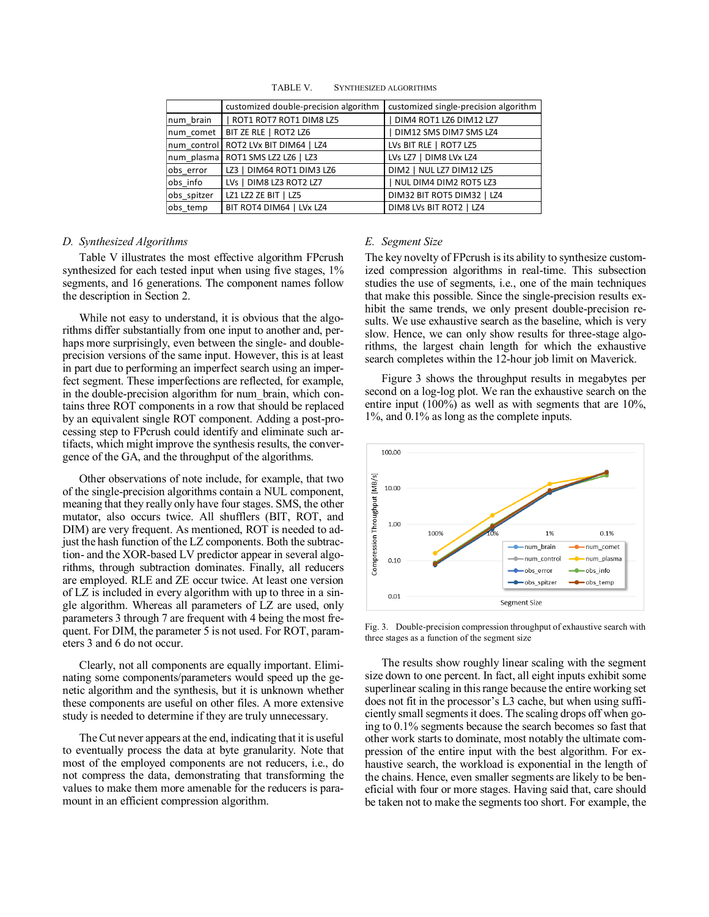|             | customized double-precision algorithm | customized single-precision algorithm |
|-------------|---------------------------------------|---------------------------------------|
| num brain   | ROT1 ROT7 ROT1 DIM8 LZ5               | DIM4 ROT1 LZ6 DIM12 LZ7               |
| num comet   | BIT ZE RLE   ROT2 LZ6                 | DIM12 SMS DIM7 SMS LZ4                |
|             | num control ROT2 LVx BIT DIM64   LZ4  | LVs BIT RLE   ROT7 LZ5                |
|             | num_plasma ROT1 SMS LZ2 LZ6   LZ3     | LVs LZ7   DIM8 LVx LZ4                |
| obs error   | LZ3   DIM64 ROT1 DIM3 LZ6             | DIM2   NUL LZ7 DIM12 LZ5              |
| obs info    | LVs   DIM8 LZ3 ROT2 LZ7               | NUL DIM4 DIM2 ROT5 LZ3                |
| obs spitzer | LZ1 LZ2 ZE BIT   LZ5                  | DIM32 BIT ROT5 DIM32   LZ4            |
| obs temp    | BIT ROT4 DIM64   LVx LZ4              | DIM8 LVs BIT ROT2   LZ4               |

TABLE V. SYNTHESIZED ALGORITHMS

# *D. Synthesized Algorithms*

Table V illustrates the most effective algorithm FPcrush synthesized for each tested input when using five stages,  $1\%$ segments, and 16 generations. The component names follow the description in Section 2.

While not easy to understand, it is obvious that the algorithms differ substantially from one input to another and, perhaps more surprisingly, even between the single- and doubleprecision versions of the same input. However, this is at least in part due to performing an imperfect search using an imperfect segment. These imperfections are reflected, for example, in the double-precision algorithm for num brain, which contains three ROT components in a row that should be replaced by an equivalent single ROT component. Adding a post-processing step to FPcrush could identify and eliminate such artifacts, which might improve the synthesis results, the convergence of the GA, and the throughput of the algorithms.

Other observations of note include, for example, that two of the single-precision algorithms contain a NUL component, meaning that they really only have four stages. SMS, the other mutator, also occurs twice. All shufflers (BIT, ROT, and DIM) are very frequent. As mentioned, ROT is needed to adjust the hash function of the LZ components. Both the subtraction- and the XOR-based LV predictor appear in several algorithms, through subtraction dominates. Finally, all reducers are employed. RLE and ZE occur twice. At least one version of LZ is included in every algorithm with up to three in a single algorithm. Whereas all parameters of LZ are used, only parameters 3 through 7 are frequent with 4 being the most frequent. For DIM, the parameter 5 is not used. For ROT, parameters 3 and 6 do not occur.

Clearly, not all components are equally important. Eliminating some components/parameters would speed up the genetic algorithm and the synthesis, but it is unknown whether these components are useful on other files. A more extensive study is needed to determine if they are truly unnecessary.

The Cut never appears at the end, indicating that it is useful to eventually process the data at byte granularity. Note that most of the employed components are not reducers, i.e., do not compress the data, demonstrating that transforming the values to make them more amenable for the reducers is paramount in an efficient compression algorithm.

# *E. Segment Size*

The key novelty of FPcrush is its ability to synthesize customized compression algorithms in real-time. This subsection studies the use of segments, i.e., one of the main techniques that make this possible. Since the single-precision results exhibit the same trends, we only present double-precision results. We use exhaustive search as the baseline, which is very slow. Hence, we can only show results for three-stage algorithms, the largest chain length for which the exhaustive search completes within the 12-hour job limit on Maverick.

Figure 3 shows the throughput results in megabytes per second on a log-log plot. We ran the exhaustive search on the entire input (100%) as well as with segments that are 10%, 1%, and 0.1% as long as the complete inputs.



Fig. 3. Double-precision compression throughput of exhaustive search with three stages as a function of the segment size

The results show roughly linear scaling with the segment size down to one percent. In fact, all eight inputs exhibit some superlinear scaling in this range because the entire working set does not fit in the processor's L3 cache, but when using sufficiently small segments it does. The scaling drops off when going to 0.1% segments because the search becomes so fast that other work starts to dominate, most notably the ultimate compression of the entire input with the best algorithm. For exhaustive search, the workload is exponential in the length of the chains. Hence, even smaller segments are likely to be beneficial with four or more stages. Having said that, care should be taken not to make the segments too short. For example, the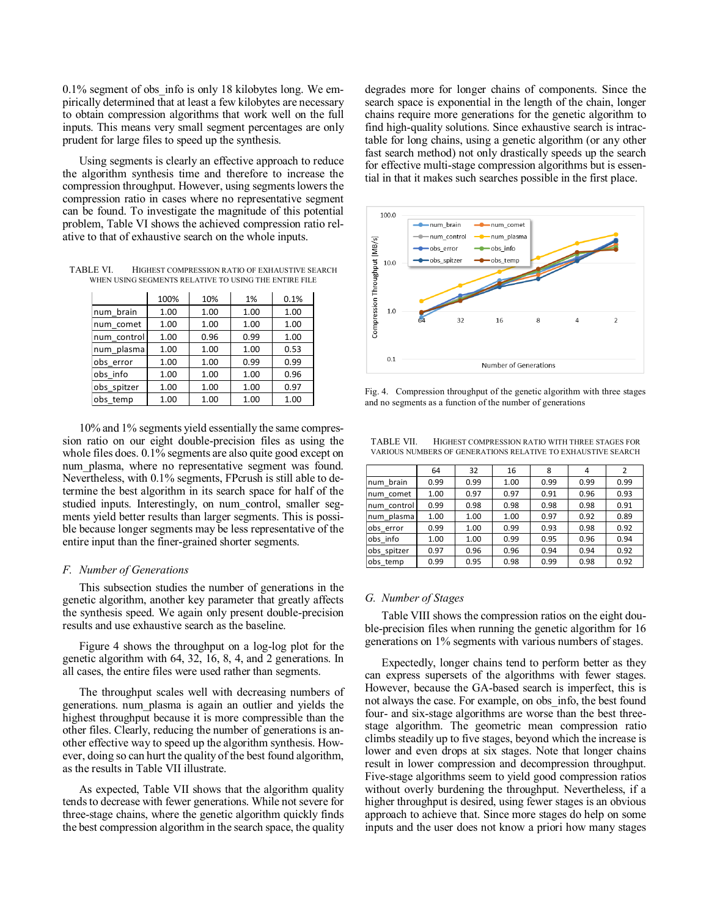0.1% segment of obs\_info is only 18 kilobytes long. We empirically determined that at least a few kilobytes are necessary to obtain compression algorithms that work well on the full inputs. This means very small segment percentages are only prudent for large files to speed up the synthesis.

Using segments is clearly an effective approach to reduce the algorithm synthesis time and therefore to increase the compression throughput. However, using segments lowers the compression ratio in cases where no representative segment can be found. To investigate the magnitude of this potential problem, Table VI shows the achieved compression ratio relative to that of exhaustive search on the whole inputs.

TABLE VI. HIGHEST COMPRESSION RATIO OF EXHAUSTIVE SEARCH WHEN USING SEGMENTS RELATIVE TO USING THE ENTIRE FILE

|             | 100% | 10%  | 1%   | 0.1% |
|-------------|------|------|------|------|
| num brain   | 1.00 | 1.00 | 1.00 | 1.00 |
| num comet   | 1.00 | 1.00 | 1.00 | 1.00 |
| num control | 1.00 | 0.96 | 0.99 | 1.00 |
| num plasma  | 1.00 | 1.00 | 1.00 | 0.53 |
| obs error   | 1.00 | 1.00 | 0.99 | 0.99 |
| obs info    | 1.00 | 1.00 | 1.00 | 0.96 |
| obs spitzer | 1.00 | 1.00 | 1.00 | 0.97 |
| obs temp    | 1.00 | 1.00 | 1.00 | 1.00 |

10% and 1% segments yield essentially the same compression ratio on our eight double-precision files as using the whole files does. 0.1% segments are also quite good except on num\_plasma, where no representative segment was found. Nevertheless, with 0.1% segments, FPcrush is still able to determine the best algorithm in its search space for half of the studied inputs. Interestingly, on num\_control, smaller segments yield better results than larger segments. This is possible because longer segments may be less representative of the entire input than the finer-grained shorter segments.

## *F. Number of Generations*

This subsection studies the number of generations in the genetic algorithm, another key parameter that greatly affects the synthesis speed. We again only present double-precision results and use exhaustive search as the baseline.

Figure 4 shows the throughput on a log-log plot for the genetic algorithm with 64, 32, 16, 8, 4, and 2 generations. In all cases, the entire files were used rather than segments.

The throughput scales well with decreasing numbers of generations. num\_plasma is again an outlier and yields the highest throughput because it is more compressible than the other files. Clearly, reducing the number of generations is another effective way to speed up the algorithm synthesis. However, doing so can hurt the quality of the best found algorithm, as the results in Table VII illustrate.

As expected, Table VII shows that the algorithm quality tends to decrease with fewer generations. While not severe for three-stage chains, where the genetic algorithm quickly finds the best compression algorithm in the search space, the quality degrades more for longer chains of components. Since the search space is exponential in the length of the chain, longer chains require more generations for the genetic algorithm to find high-quality solutions. Since exhaustive search is intractable for long chains, using a genetic algorithm (or any other fast search method) not only drastically speeds up the search for effective multi-stage compression algorithms but is essential in that it makes such searches possible in the first place.



Fig. 4. Compression throughput of the genetic algorithm with three stages and no segments as a function of the number of generations

TABLE VII. HIGHEST COMPRESSION RATIO WITH THREE STAGES FOR VARIOUS NUMBERS OF GENERATIONS RELATIVE TO EXHAUSTIVE SEARCH

|             | 64   | 32   | 16   | 8    | 4    | $\overline{2}$ |
|-------------|------|------|------|------|------|----------------|
| num brain   | 0.99 | 0.99 | 1.00 | 0.99 | 0.99 | 0.99           |
| num comet   | 1.00 | 0.97 | 0.97 | 0.91 | 0.96 | 0.93           |
| num control | 0.99 | 0.98 | 0.98 | 0.98 | 0.98 | 0.91           |
| num plasma  | 1.00 | 1.00 | 1.00 | 0.97 | 0.92 | 0.89           |
| obs error   | 0.99 | 1.00 | 0.99 | 0.93 | 0.98 | 0.92           |
| obs info    | 1.00 | 1.00 | 0.99 | 0.95 | 0.96 | 0.94           |
| obs spitzer | 0.97 | 0.96 | 0.96 | 0.94 | 0.94 | 0.92           |
| obs temp    | 0.99 | 0.95 | 0.98 | 0.99 | 0.98 | 0.92           |

## *G. Number of Stages*

Table VIII shows the compression ratios on the eight double-precision files when running the genetic algorithm for 16 generations on 1% segments with various numbers of stages.

Expectedly, longer chains tend to perform better as they can express supersets of the algorithms with fewer stages. However, because the GA-based search is imperfect, this is not always the case. For example, on obs\_info, the best found four- and six-stage algorithms are worse than the best threestage algorithm. The geometric mean compression ratio climbs steadily up to five stages, beyond which the increase is lower and even drops at six stages. Note that longer chains result in lower compression and decompression throughput. Five-stage algorithms seem to yield good compression ratios without overly burdening the throughput. Nevertheless, if a higher throughput is desired, using fewer stages is an obvious approach to achieve that. Since more stages do help on some inputs and the user does not know a priori how many stages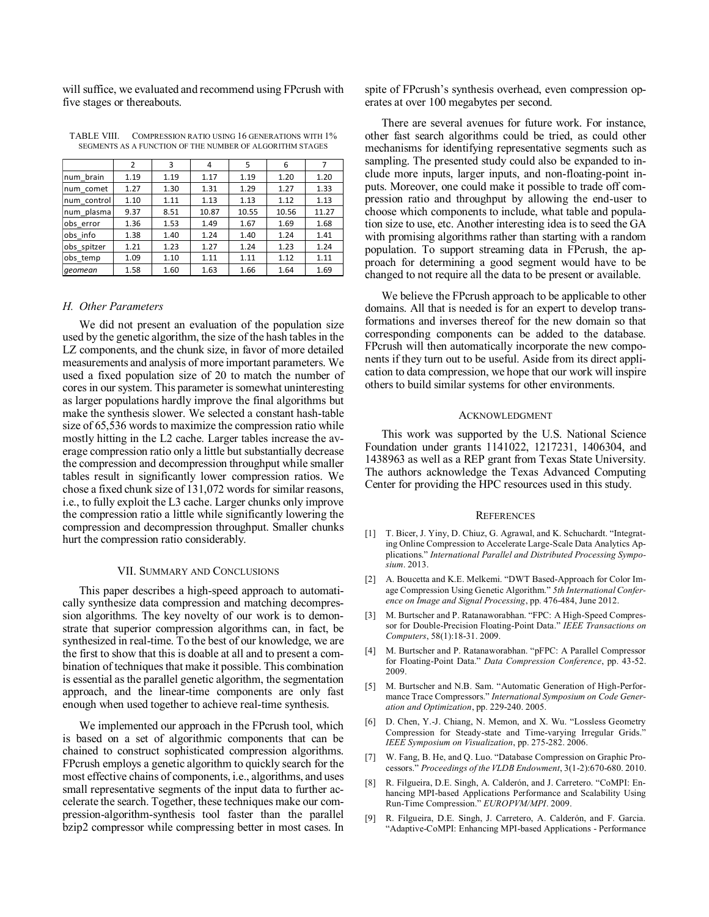will suffice, we evaluated and recommend using FPcrush with five stages or thereabouts.

|             | 2    | 3    | 4     | 5     | 6     |       |
|-------------|------|------|-------|-------|-------|-------|
| num brain   | 1.19 | 1.19 | 1.17  | 1.19  | 1.20  | 1.20  |
| num comet   | 1.27 | 1.30 | 1.31  | 1.29  | 1.27  | 1.33  |
| num control | 1.10 | 1.11 | 1.13  | 1.13  | 1.12  | 1.13  |
| num plasma  | 9.37 | 8.51 | 10.87 | 10.55 | 10.56 | 11.27 |
| obs error   | 1.36 | 1.53 | 1.49  | 1.67  | 1.69  | 1.68  |
| obs info    | 1.38 | 1.40 | 1.24  | 1.40  | 1.24  | 1.41  |
| obs spitzer | 1.21 | 1.23 | 1.27  | 1.24  | 1.23  | 1.24  |
| obs temp    | 1.09 | 1.10 | 1.11  | 1.11  | 1.12  | 1.11  |
| geomean     | 1.58 | 1.60 | 1.63  | 1.66  | 1.64  | 1.69  |

TABLE VIII. COMPRESSION RATIO USING 16 GENERATIONS WITH 1% SEGMENTS AS A FUNCTION OF THE NUMBER OF ALGORITHM STAGES

## *H. Other Parameters*

We did not present an evaluation of the population size used by the genetic algorithm, the size of the hash tables in the LZ components, and the chunk size, in favor of more detailed measurements and analysis of more important parameters. We used a fixed population size of 20 to match the number of cores in our system. This parameter is somewhat uninteresting as larger populations hardly improve the final algorithms but make the synthesis slower. We selected a constant hash-table size of 65,536 words to maximize the compression ratio while mostly hitting in the L2 cache. Larger tables increase the average compression ratio only a little but substantially decrease the compression and decompression throughput while smaller tables result in significantly lower compression ratios. We chose a fixed chunk size of 131,072 words for similar reasons, i.e., to fully exploit the L3 cache. Larger chunks only improve the compression ratio a little while significantly lowering the compression and decompression throughput. Smaller chunks hurt the compression ratio considerably.

## VII. SUMMARY AND CONCLUSIONS

This paper describes a high-speed approach to automatically synthesize data compression and matching decompression algorithms. The key novelty of our work is to demonstrate that superior compression algorithms can, in fact, be synthesized in real-time. To the best of our knowledge, we are the first to show that this is doable at all and to present a combination of techniques that make it possible. This combination is essential as the parallel genetic algorithm, the segmentation approach, and the linear-time components are only fast enough when used together to achieve real-time synthesis.

We implemented our approach in the FPcrush tool, which is based on a set of algorithmic components that can be chained to construct sophisticated compression algorithms. FPcrush employs a genetic algorithm to quickly search for the most effective chains of components, i.e., algorithms, and uses small representative segments of the input data to further accelerate the search. Together, these techniques make our compression-algorithm-synthesis tool faster than the parallel bzip2 compressor while compressing better in most cases. In spite of FPcrush's synthesis overhead, even compression operates at over 100 megabytes per second.

There are several avenues for future work. For instance, other fast search algorithms could be tried, as could other mechanisms for identifying representative segments such as sampling. The presented study could also be expanded to include more inputs, larger inputs, and non-floating-point inputs. Moreover, one could make it possible to trade off compression ratio and throughput by allowing the end-user to choose which components to include, what table and population size to use, etc. Another interesting idea is to seed the GA with promising algorithms rather than starting with a random population. To support streaming data in FPcrush, the approach for determining a good segment would have to be changed to not require all the data to be present or available.

We believe the FPcrush approach to be applicable to other domains. All that is needed is for an expert to develop transformations and inverses thereof for the new domain so that corresponding components can be added to the database. FPcrush will then automatically incorporate the new components if they turn out to be useful. Aside from its direct application to data compression, we hope that our work will inspire others to build similar systems for other environments.

#### ACKNOWLEDGMENT

This work was supported by the U.S. National Science Foundation under grants 1141022, 1217231, 1406304, and 1438963 as well as a REP grant from Texas State University. The authors acknowledge the Texas Advanced Computing Center for providing the HPC resources used in this study.

#### **REFERENCES**

- [1] T. Bicer, J. Yiny, D. Chiuz, G. Agrawal, and K. Schuchardt. "Integrating Online Compression to Accelerate Large-Scale Data Analytics Applications." *International Parallel and Distributed Processing Symposium*. 2013.
- [2] A. Boucetta and K.E. Melkemi. "DWT Based-Approach for Color Image Compression Using Genetic Algorithm." *5th International Conference on Image and Signal Processing*, pp. 476-484, June 2012.
- [3] M. Burtscher and P. Ratanaworabhan. "FPC: A High-Speed Compressor for Double-Precision Floating-Point Data." *IEEE Transactions on Computers*, 58(1):18-31. 2009.
- [4] M. Burtscher and P. Ratanaworabhan. "pFPC: A Parallel Compressor for Floating-Point Data." *Data Compression Conference*, pp. 43-52. 2009.
- [5] M. Burtscher and N.B. Sam. "Automatic Generation of High-Performance Trace Compressors." *International Symposium on Code Generation and Optimization*, pp. 229-240. 2005.
- [6] D. Chen, Y.-J. Chiang, N. Memon, and X. Wu. "Lossless Geometry Compression for Steady-state and Time-varying Irregular Grids." *IEEE Symposium on Visualization*, pp. 275-282. 2006.
- [7] W. Fang, B. He, and Q. Luo. "Database Compression on Graphic Processors." *Proceedings of the VLDB Endowment*, 3(1-2):670-680. 2010.
- [8] R. Filgueira, D.E. Singh, A. Calderón, and J. Carretero. "CoMPI: Enhancing MPI-based Applications Performance and Scalability Using Run-Time Compression." *EUROPVM/MPI*. 2009.
- [9] R. Filgueira, D.E. Singh, J. Carretero, A. Calderón, and F. Garcia. "Adaptive-CoMPI: Enhancing MPI-based Applications - Performance